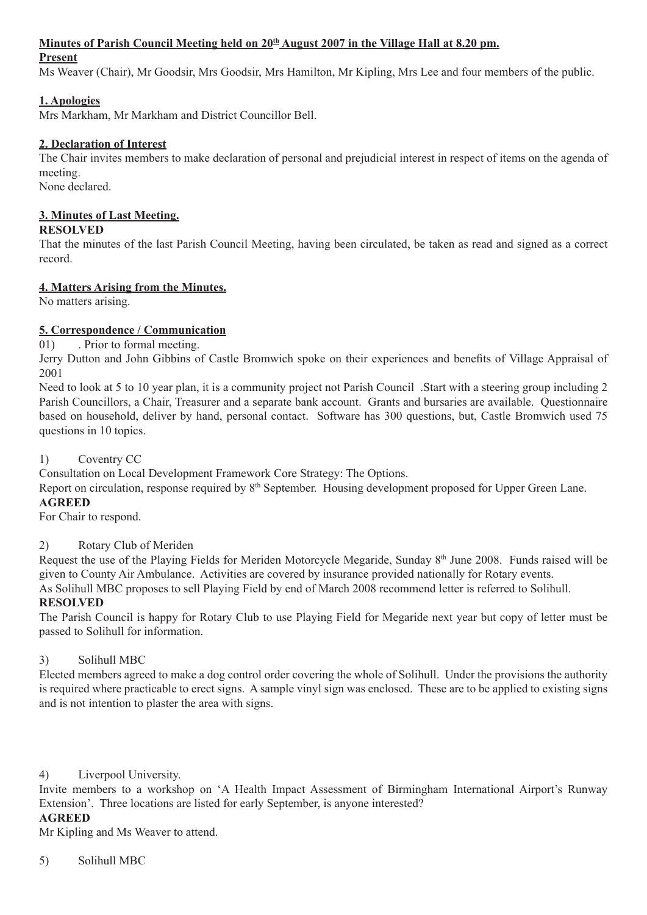### Minutes of Parish Council Meeting held on  $20<sup>th</sup>$  August 2007 in the Village Hall at 8.20 pm.

#### **Present**

Ms Weaver (Chair), Mr Goodsir, Mrs Goodsir, Mrs Hamilton, Mr Kipling, Mrs Lee and four members of the public.

### **1. Apologies**

Mrs Markham, Mr Markham and District Councillor Bell.

### **2. Declaration of Interest**

The Chair invites members to make declaration of personal and prejudicial interest in respect of items on the agenda of meeting. None declared.

### **3. Minutes of Last Meeting.**

### **RESOLVED**

That the minutes of the last Parish Council Meeting, having been circulated, be taken as read and signed as a correct record.

### **4. Matters Arising from the Minutes.**

No matters arising.

### **5. Correspondence / Communication**

01) . Prior to formal meeting.

Jerry Dutton and John Gibbins of Castle Bromwich spoke on their experiences and benefits of Village Appraisal of 2001

Need to look at 5 to 10 year plan, it is a community project not Parish Council .Start with a steering group including 2 Parish Councillors, a Chair, Treasurer and a separate bank account. Grants and bursaries are available. Questionnaire based on household, deliver by hand, personal contact. Software has 300 questions, but, Castle Bromwich used 75 questions in 10 topics.

### 1) Coventry CC

Consultation on Local Development Framework Core Strategy: The Options.

Report on circulation, response required by 8<sup>th</sup> September. Housing development proposed for Upper Green Lane.

### **AGREED**

For Chair to respond.

### 2) Rotary Club of Meriden

Request the use of the Playing Fields for Meriden Motorcycle Megaride, Sunday 8<sup>th</sup> June 2008. Funds raised will be given to County Air Ambulance. Activities are covered by insurance provided nationally for Rotary events.

As Solihull MBC proposes to sell Playing Field by end of March 2008 recommend letter is referred to Solihull.

### **RESOLVED**

The Parish Council is happy for Rotary Club to use Playing Field for Megaride next year but copy of letter must be passed to Solihull for information.

### 3) Solihull MBC

Elected members agreed to make a dog control order covering the whole of Solihull. Under the provisions the authority is required where practicable to erect signs. A sample vinyl sign was enclosed. These are to be applied to existing signs and is not intention to plaster the area with signs.

### 4) Liverpool University.

Invite members to a workshop on 'A Health Impact Assessment of Birmingham International Airport's Runway Extension'. Three locations are listed for early September, is anyone interested?

# **AGREED**

Mr Kipling and Ms Weaver to attend.

### 5) Solihull MBC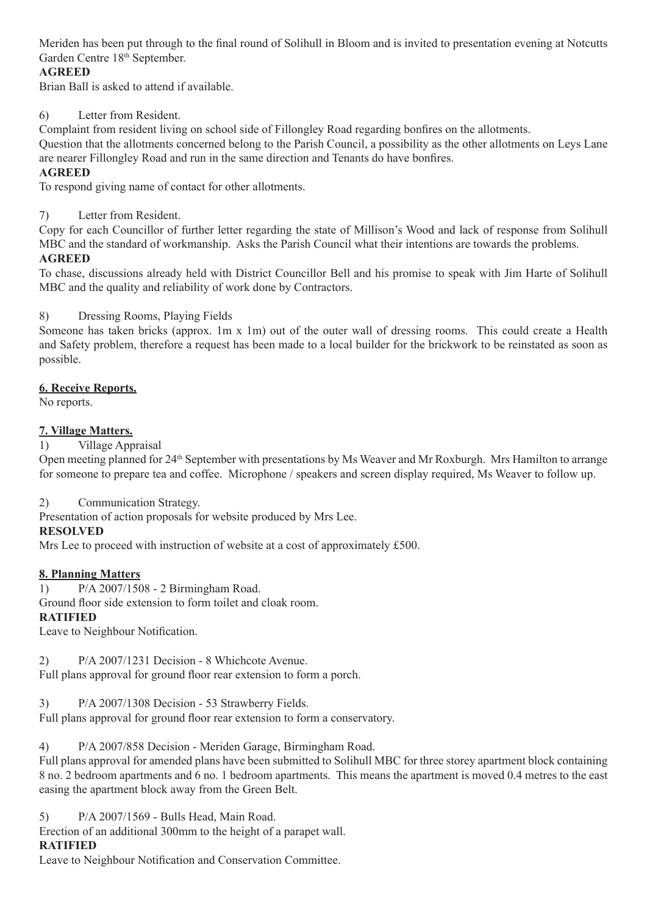Meriden has been put through to the final round of Solihull in Bloom and is invited to presentation evening at Notcutts Garden Centre 18<sup>th</sup> September.

# **AGREED**

Brian Ball is asked to attend if available.

# 6) Letter from Resident.

Complaint from resident living on school side of Fillongley Road regarding bonfires on the allotments.

Question that the allotments concerned belong to the Parish Council, a possibility as the other allotments on Leys Lane are nearer Fillongley Road and run in the same direction and Tenants do have bonfires.

### **AGREED**

To respond giving name of contact for other allotments.

7) Letter from Resident.

Copy for each Councillor of further letter regarding the state of Millison's Wood and lack of response from Solihull MBC and the standard of workmanship. Asks the Parish Council what their intentions are towards the problems. **AGREED**

To chase, discussions already held with District Councillor Bell and his promise to speak with Jim Harte of Solihull MBC and the quality and reliability of work done by Contractors.

### 8) Dressing Rooms, Playing Fields

Someone has taken bricks (approx. 1m x 1m) out of the outer wall of dressing rooms. This could create a Health and Safety problem, therefore a request has been made to a local builder for the brickwork to be reinstated as soon as possible.

### **6. Receive Reports.**

No reports.

### **7. Village Matters.**

1) Village Appraisal

Open meeting planned for 24th September with presentations by Ms Weaver and Mr Roxburgh. Mrs Hamilton to arrange for someone to prepare tea and coffee. Microphone / speakers and screen display required, Ms Weaver to follow up.

### 2) Communication Strategy.

Presentation of action proposals for website produced by Mrs Lee.

### **RESOLVED**

Mrs Lee to proceed with instruction of website at a cost of approximately £500.

### **8. Planning Matters**

1) P/A 2007/1508 - 2 Birmingham Road.

Ground floor side extension to form toilet and cloak room.

# **RATIFIED**

Leave to Neighbour Notification.

2) P/A 2007/1231 Decision - 8 Whichcote Avenue.

Full plans approval for ground floor rear extension to form a porch.

3) P/A 2007/1308 Decision - 53 Strawberry Fields.

Full plans approval for ground floor rear extension to form a conservatory.

4) P/A 2007/858 Decision - Meriden Garage, Birmingham Road.

Full plans approval for amended plans have been submitted to Solihull MBC for three storey apartment block containing 8 no. 2 bedroom apartments and 6 no. 1 bedroom apartments. This means the apartment is moved 0.4 metres to the east easing the apartment block away from the Green Belt.

5) P/A 2007/1569 - Bulls Head, Main Road.

Erection of an additional 300mm to the height of a parapet wall.

### **RATIFIED**

Leave to Neighbour Notification and Conservation Committee.